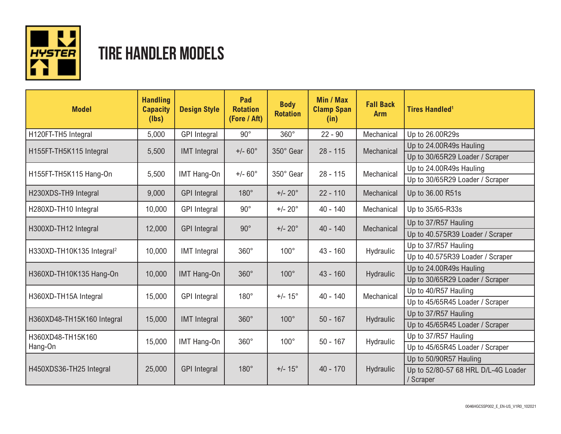

## **TIRE HANDLER MODELS**

| <b>Model</b>                          | <b>Handling</b><br><b>Capacity</b><br>(lbs) | <b>Design Style</b> | Pad<br><b>Rotation</b><br>(Fore / Aft) | <b>Body</b><br><b>Rotation</b> | Min / Max<br><b>Clamp Span</b><br>(in) | <b>Fall Back</b><br><b>Arm</b> | <b>Tires Handled<sup>1</sup></b>                 |
|---------------------------------------|---------------------------------------------|---------------------|----------------------------------------|--------------------------------|----------------------------------------|--------------------------------|--------------------------------------------------|
| H120FT-TH5 Integral                   | 5,000                                       | <b>GPI</b> Integral | $90^{\circ}$                           | $360^\circ$                    | $22 - 90$                              | Mechanical                     | Up to 26.00R29s                                  |
| H155FT-TH5K115 Integral               | 5,500                                       | <b>IMT</b> Integral | $+/- 60^{\circ}$                       | 350° Gear                      | $28 - 115$                             | Mechanical                     | Up to 24.00R49s Hauling                          |
|                                       |                                             |                     |                                        |                                |                                        |                                | Up to 30/65R29 Loader / Scraper                  |
| H155FT-TH5K115 Hang-On                | 5,500                                       | IMT Hang-On         | $+/- 60^{\circ}$                       | 350° Gear                      | $28 - 115$                             | Mechanical                     | Up to 24.00R49s Hauling                          |
|                                       |                                             |                     |                                        |                                |                                        |                                | Up to 30/65R29 Loader / Scraper                  |
| H230XDS-TH9 Integral                  | 9,000                                       | <b>GPI Integral</b> | $180^\circ$                            | $+/- 20^{\circ}$               | $22 - 110$                             | Mechanical                     | Up to 36.00 R51s                                 |
| H280XD-TH10 Integral                  | 10,000                                      | <b>GPI</b> Integral | $90^{\circ}$                           | $+/- 20^{\circ}$               | $40 - 140$                             | Mechanical                     | Up to 35/65-R33s                                 |
| H300XD-TH12 Integral                  | 12,000                                      | <b>GPI</b> Integral | $90^\circ$                             | $+/- 20^{\circ}$               | $40 - 140$                             | Mechanical                     | Up to 37/R57 Hauling                             |
|                                       |                                             |                     |                                        |                                |                                        |                                | Up to 40.575R39 Loader / Scraper                 |
| H330XD-TH10K135 Integral <sup>2</sup> | 10,000                                      | <b>IMT</b> Integral | $360^\circ$                            | $100^\circ$                    | $43 - 160$                             | Hydraulic                      | Up to 37/R57 Hauling                             |
|                                       |                                             |                     |                                        |                                |                                        |                                | Up to 40.575R39 Loader / Scraper                 |
| H360XD-TH10K135 Hang-On               | 10,000                                      | <b>IMT Hang-On</b>  | $360^\circ$                            | $100^\circ$                    | $43 - 160$                             | Hydraulic                      | Up to 24.00R49s Hauling                          |
|                                       |                                             |                     |                                        |                                |                                        |                                | Up to 30/65R29 Loader / Scraper                  |
| H360XD-TH15A Integral                 | 15,000                                      | <b>GPI</b> Integral | $180^\circ$                            | $+/- 15^{\circ}$               | $40 - 140$                             | Mechanical                     | Up to 40/R57 Hauling                             |
|                                       |                                             |                     |                                        |                                |                                        |                                | Up to 45/65R45 Loader / Scraper                  |
| H360XD48-TH15K160 Integral            | 15,000                                      | <b>IMT</b> Integral | $360^\circ$                            | $100^\circ$                    | $50 - 167$                             | Hydraulic                      | Up to 37/R57 Hauling                             |
|                                       |                                             |                     |                                        |                                |                                        |                                | Up to 45/65R45 Loader / Scraper                  |
| H360XD48-TH15K160<br>Hang-On          | 15,000                                      | IMT Hang-On         | $360^\circ$                            | $100^\circ$                    | $50 - 167$                             | Hydraulic                      | Up to 37/R57 Hauling                             |
|                                       |                                             |                     |                                        |                                |                                        |                                | Up to 45/65R45 Loader / Scraper                  |
| H450XDS36-TH25 Integral               | 25,000                                      | <b>GPI Integral</b> | $180^\circ$                            | $+/- 15^{\circ}$               | $40 - 170$                             | <b>Hydraulic</b>               | Up to 50/90R57 Hauling                           |
|                                       |                                             |                     |                                        |                                |                                        |                                | Up to 52/80-57 68 HRL D/L-4G Loader<br>/ Scraper |